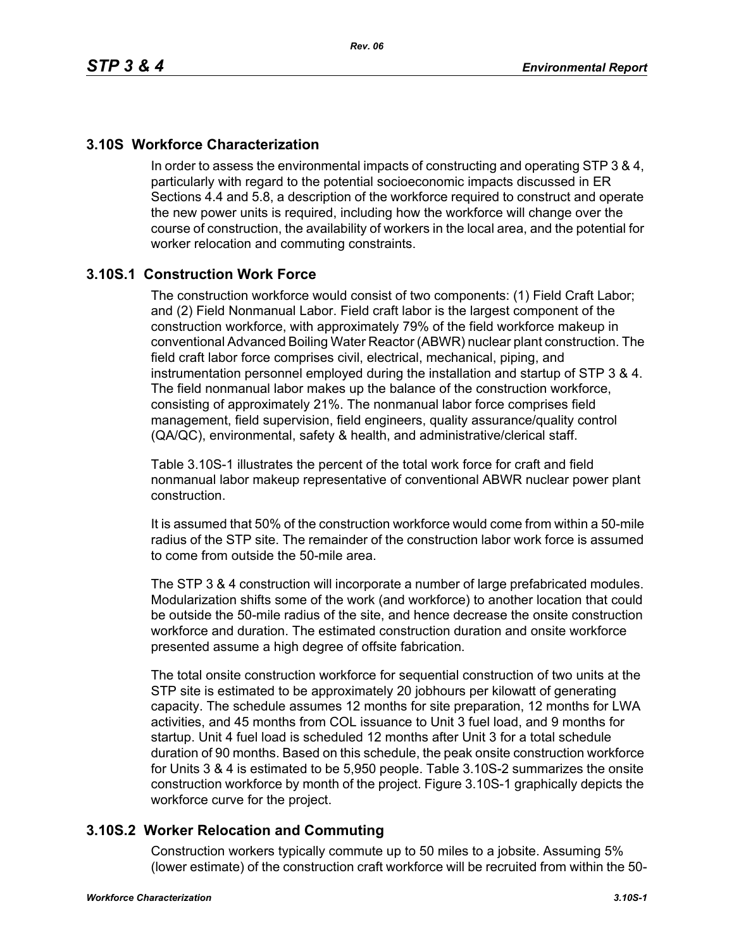# **3.10S Workforce Characterization**

In order to assess the environmental impacts of constructing and operating STP 3 & 4, particularly with regard to the potential socioeconomic impacts discussed in ER Sections 4.4 and 5.8, a description of the workforce required to construct and operate the new power units is required, including how the workforce will change over the course of construction, the availability of workers in the local area, and the potential for worker relocation and commuting constraints.

# **3.10S.1 Construction Work Force**

The construction workforce would consist of two components: (1) Field Craft Labor; and (2) Field Nonmanual Labor. Field craft labor is the largest component of the construction workforce, with approximately 79% of the field workforce makeup in conventional Advanced Boiling Water Reactor (ABWR) nuclear plant construction. The field craft labor force comprises civil, electrical, mechanical, piping, and instrumentation personnel employed during the installation and startup of STP 3 & 4. The field nonmanual labor makes up the balance of the construction workforce, consisting of approximately 21%. The nonmanual labor force comprises field management, field supervision, field engineers, quality assurance/quality control (QA/QC), environmental, safety & health, and administrative/clerical staff.

Table 3.10S-1 illustrates the percent of the total work force for craft and field nonmanual labor makeup representative of conventional ABWR nuclear power plant construction.

It is assumed that 50% of the construction workforce would come from within a 50-mile radius of the STP site. The remainder of the construction labor work force is assumed to come from outside the 50-mile area.

The STP 3 & 4 construction will incorporate a number of large prefabricated modules. Modularization shifts some of the work (and workforce) to another location that could be outside the 50-mile radius of the site, and hence decrease the onsite construction workforce and duration. The estimated construction duration and onsite workforce presented assume a high degree of offsite fabrication.

The total onsite construction workforce for sequential construction of two units at the STP site is estimated to be approximately 20 jobhours per kilowatt of generating capacity. The schedule assumes 12 months for site preparation, 12 months for LWA activities, and 45 months from COL issuance to Unit 3 fuel load, and 9 months for startup. Unit 4 fuel load is scheduled 12 months after Unit 3 for a total schedule duration of 90 months. Based on this schedule, the peak onsite construction workforce for Units 3 & 4 is estimated to be 5,950 people. Table 3.10S-2 summarizes the onsite construction workforce by month of the project. Figure 3.10S-1 graphically depicts the workforce curve for the project.

## **3.10S.2 Worker Relocation and Commuting**

Construction workers typically commute up to 50 miles to a jobsite. Assuming 5% (lower estimate) of the construction craft workforce will be recruited from within the 50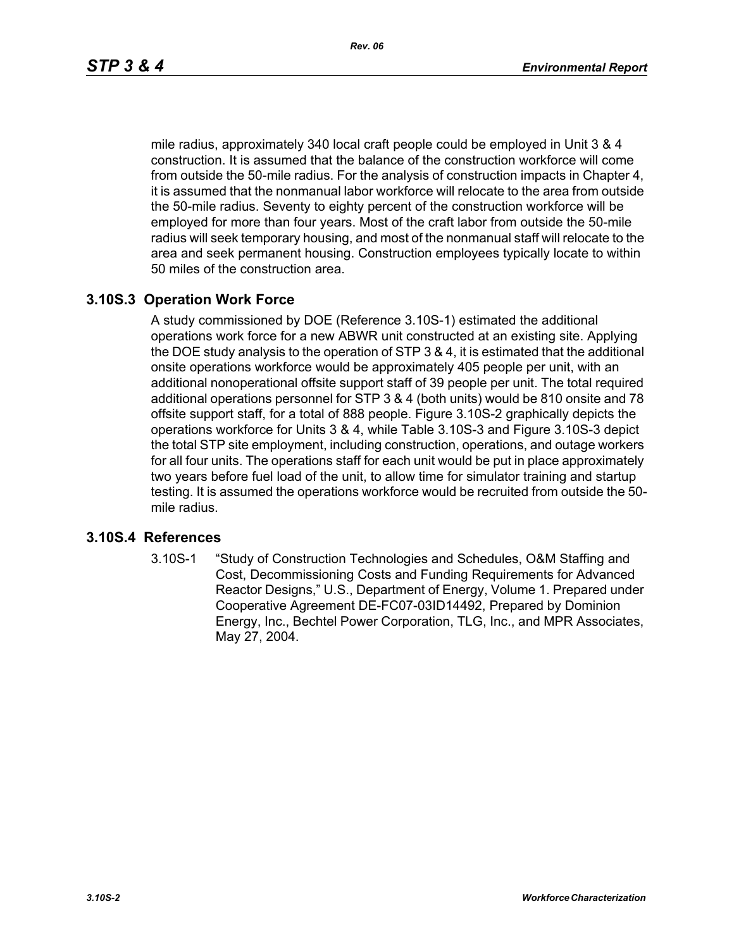mile radius, approximately 340 local craft people could be employed in Unit 3 & 4 construction. It is assumed that the balance of the construction workforce will come from outside the 50-mile radius. For the analysis of construction impacts in Chapter 4, it is assumed that the nonmanual labor workforce will relocate to the area from outside the 50-mile radius. Seventy to eighty percent of the construction workforce will be employed for more than four years. Most of the craft labor from outside the 50-mile radius will seek temporary housing, and most of the nonmanual staff will relocate to the area and seek permanent housing. Construction employees typically locate to within 50 miles of the construction area.

## **3.10S.3 Operation Work Force**

A study commissioned by DOE (Reference 3.10S-1) estimated the additional operations work force for a new ABWR unit constructed at an existing site. Applying the DOE study analysis to the operation of STP 3 & 4, it is estimated that the additional onsite operations workforce would be approximately 405 people per unit, with an additional nonoperational offsite support staff of 39 people per unit. The total required additional operations personnel for STP 3 & 4 (both units) would be 810 onsite and 78 offsite support staff, for a total of 888 people. Figure 3.10S-2 graphically depicts the operations workforce for Units 3 & 4, while Table 3.10S-3 and Figure 3.10S-3 depict the total STP site employment, including construction, operations, and outage workers for all four units. The operations staff for each unit would be put in place approximately two years before fuel load of the unit, to allow time for simulator training and startup testing. It is assumed the operations workforce would be recruited from outside the 50 mile radius.

#### **3.10S.4 References**

3.10S-1 "Study of Construction Technologies and Schedules, O&M Staffing and Cost, Decommissioning Costs and Funding Requirements for Advanced Reactor Designs," U.S., Department of Energy, Volume 1. Prepared under Cooperative Agreement DE-FC07-03ID14492, Prepared by Dominion Energy, Inc., Bechtel Power Corporation, TLG, Inc., and MPR Associates, May 27, 2004.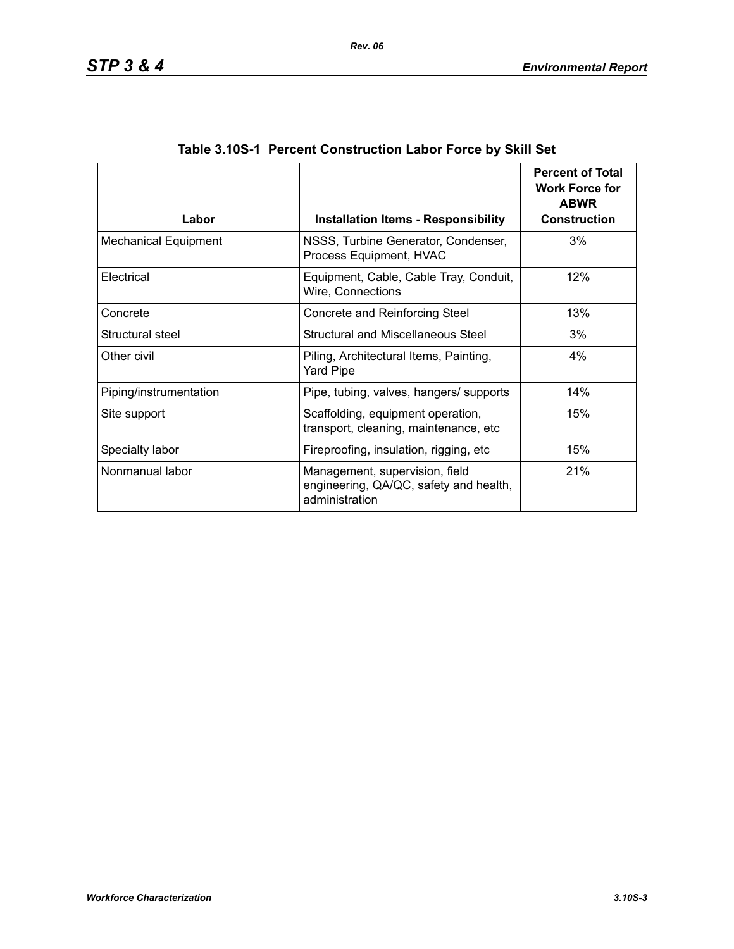| Labor                       | <b>Installation Items - Responsibility</b>                                                 | <b>Percent of Total</b><br><b>Work Force for</b><br><b>ABWR</b><br><b>Construction</b> |
|-----------------------------|--------------------------------------------------------------------------------------------|----------------------------------------------------------------------------------------|
| <b>Mechanical Equipment</b> | NSSS, Turbine Generator, Condenser,<br>Process Equipment, HVAC                             | 3%                                                                                     |
| Electrical                  | Equipment, Cable, Cable Tray, Conduit,<br>Wire, Connections                                | 12%                                                                                    |
| Concrete                    | Concrete and Reinforcing Steel                                                             | 13%                                                                                    |
| Structural steel            | Structural and Miscellaneous Steel                                                         | 3%                                                                                     |
| Other civil                 | Piling, Architectural Items, Painting,<br><b>Yard Pipe</b>                                 | 4%                                                                                     |
| Piping/instrumentation      | Pipe, tubing, valves, hangers/ supports                                                    | 14%                                                                                    |
| Site support                | Scaffolding, equipment operation,<br>transport, cleaning, maintenance, etc                 | 15%                                                                                    |
| Specialty labor             | Fireproofing, insulation, rigging, etc                                                     | 15%                                                                                    |
| Nonmanual labor             | Management, supervision, field<br>engineering, QA/QC, safety and health,<br>administration | 21%                                                                                    |

| Table 3.10S-1 Percent Construction Labor Force by Skill Set |  |  |  |  |
|-------------------------------------------------------------|--|--|--|--|
|                                                             |  |  |  |  |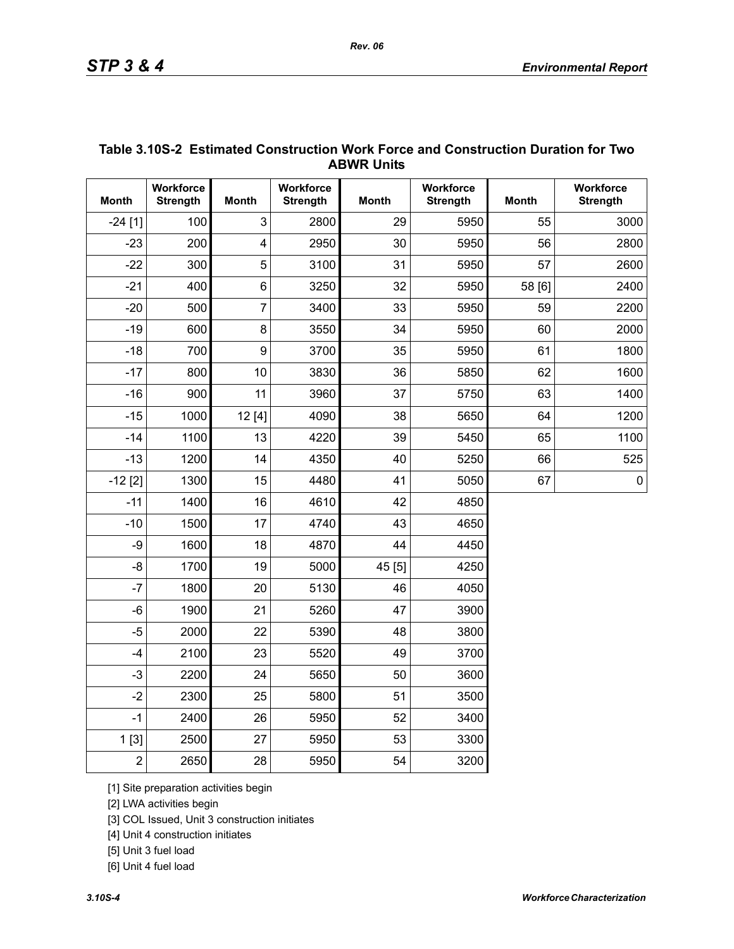|                | <b>ABWR UNITS</b>            |                         |                              |              |                              |              |                              |  |  |
|----------------|------------------------------|-------------------------|------------------------------|--------------|------------------------------|--------------|------------------------------|--|--|
| <b>Month</b>   | Workforce<br><b>Strength</b> | <b>Month</b>            | Workforce<br><b>Strength</b> | <b>Month</b> | Workforce<br><b>Strength</b> | <b>Month</b> | Workforce<br><b>Strength</b> |  |  |
| $-24$ [1]      | 100                          | 3                       | 2800                         | 29           | 5950                         | 55           | 3000                         |  |  |
| $-23$          | 200                          | $\overline{\mathbf{4}}$ | 2950                         | 30           | 5950                         | 56           | 2800                         |  |  |
| $-22$          | 300                          | 5                       | 3100                         | 31           | 5950                         | 57           | 2600                         |  |  |
| $-21$          | 400                          | $6\phantom{1}$          | 3250                         | 32           | 5950                         | 58 [6]       | 2400                         |  |  |
| $-20$          | 500                          | $\overline{7}$          | 3400                         | 33           | 5950                         | 59           | 2200                         |  |  |
| $-19$          | 600                          | 8                       | 3550                         | 34           | 5950                         | 60           | 2000                         |  |  |
| $-18$          | 700                          | 9                       | 3700                         | 35           | 5950                         | 61           | 1800                         |  |  |
| $-17$          | 800                          | 10                      | 3830                         | 36           | 5850                         | 62           | 1600                         |  |  |
| $-16$          | 900                          | 11                      | 3960                         | 37           | 5750                         | 63           | 1400                         |  |  |
| $-15$          | 1000                         | 12 [4]                  | 4090                         | 38           | 5650                         | 64           | 1200                         |  |  |
| $-14$          | 1100                         | 13                      | 4220                         | 39           | 5450                         | 65           | 1100                         |  |  |
| $-13$          | 1200                         | 14                      | 4350                         | 40           | 5250                         | 66           | 525                          |  |  |
| $-12$ [2]      | 1300                         | 15                      | 4480                         | 41           | 5050                         | 67           | $\pmb{0}$                    |  |  |
| $-11$          | 1400                         | 16                      | 4610                         | 42           | 4850                         |              |                              |  |  |
| $-10$          | 1500                         | 17                      | 4740                         | 43           | 4650                         |              |                              |  |  |
| -9             | 1600                         | 18                      | 4870                         | 44           | 4450                         |              |                              |  |  |
| $-8$           | 1700                         | 19                      | 5000                         | 45 [5]       | 4250                         |              |                              |  |  |
| $-7$           | 1800                         | 20                      | 5130                         | 46           | 4050                         |              |                              |  |  |
| $-6$           | 1900                         | 21                      | 5260                         | 47           | 3900                         |              |                              |  |  |
| $-5$           | 2000                         | 22                      | 5390                         | 48           | 3800                         |              |                              |  |  |
| $-4$           | 2100                         | 23                      | 5520                         | 49           | 3700                         |              |                              |  |  |
| $-3$           | 2200                         | 24                      | 5650                         | 50           | 3600                         |              |                              |  |  |
| $-2$           | 2300                         | 25                      | 5800                         | 51           | 3500                         |              |                              |  |  |
| $-1$           | 2400                         | 26                      | 5950                         | 52           | 3400                         |              |                              |  |  |
| 1[3]           | 2500                         | 27                      | 5950                         | 53           | 3300                         |              |                              |  |  |
| $\overline{2}$ | 2650                         | 28                      | 5950                         | 54           | 3200                         |              |                              |  |  |

## **Table 3.10S-2 Estimated Construction Work Force and Construction Duration for Two ABWR Units**

[1] Site preparation activities begin

[2] LWA activities begin

[3] COL Issued, Unit 3 construction initiates

[4] Unit 4 construction initiates

[5] Unit 3 fuel load

[6] Unit 4 fuel load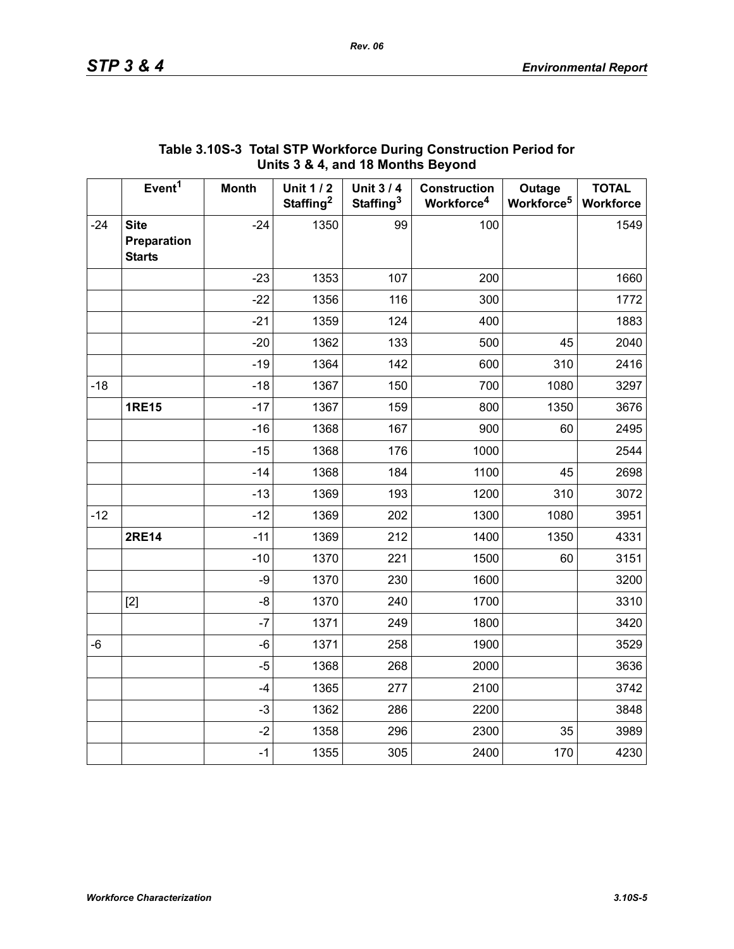|       | . .,                                        |              |                                          |                                          |                                               |                                  |                                  |  |
|-------|---------------------------------------------|--------------|------------------------------------------|------------------------------------------|-----------------------------------------------|----------------------------------|----------------------------------|--|
|       | Event <sup>1</sup>                          | <b>Month</b> | <b>Unit 1/2</b><br>Staffing <sup>2</sup> | <b>Unit 3/4</b><br>Staffing <sup>3</sup> | <b>Construction</b><br>Workforce <sup>4</sup> | Outage<br>Workforce <sup>5</sup> | <b>TOTAL</b><br><b>Workforce</b> |  |
| $-24$ | <b>Site</b><br>Preparation<br><b>Starts</b> | $-24$        | 1350                                     | 99                                       | 100                                           |                                  | 1549                             |  |
|       |                                             | $-23$        | 1353                                     | 107                                      | 200                                           |                                  | 1660                             |  |
|       |                                             | $-22$        | 1356                                     | 116                                      | 300                                           |                                  | 1772                             |  |
|       |                                             | $-21$        | 1359                                     | 124                                      | 400                                           |                                  | 1883                             |  |
|       |                                             | $-20$        | 1362                                     | 133                                      | 500                                           | 45                               | 2040                             |  |
|       |                                             | $-19$        | 1364                                     | 142                                      | 600                                           | 310                              | 2416                             |  |
| $-18$ |                                             | $-18$        | 1367                                     | 150                                      | 700                                           | 1080                             | 3297                             |  |
|       | <b>1RE15</b>                                | $-17$        | 1367                                     | 159                                      | 800                                           | 1350                             | 3676                             |  |
|       |                                             | $-16$        | 1368                                     | 167                                      | 900                                           | 60                               | 2495                             |  |
|       |                                             | $-15$        | 1368                                     | 176                                      | 1000                                          |                                  | 2544                             |  |
|       |                                             | $-14$        | 1368                                     | 184                                      | 1100                                          | 45                               | 2698                             |  |
|       |                                             | $-13$        | 1369                                     | 193                                      | 1200                                          | 310                              | 3072                             |  |
| $-12$ |                                             | $-12$        | 1369                                     | 202                                      | 1300                                          | 1080                             | 3951                             |  |
|       | <b>2RE14</b>                                | $-11$        | 1369                                     | 212                                      | 1400                                          | 1350                             | 4331                             |  |
|       |                                             | $-10$        | 1370                                     | 221                                      | 1500                                          | 60                               | 3151                             |  |
|       |                                             | $-9$         | 1370                                     | 230                                      | 1600                                          |                                  | 3200                             |  |
|       | $[2]$                                       | -8           | 1370                                     | 240                                      | 1700                                          |                                  | 3310                             |  |
|       |                                             | $-7$         | 1371                                     | 249                                      | 1800                                          |                                  | 3420                             |  |
| -6    |                                             | -6           | 1371                                     | 258                                      | 1900                                          |                                  | 3529                             |  |
|       |                                             | $-5$         | 1368                                     | 268                                      | 2000                                          |                                  | 3636                             |  |
|       |                                             | $-4$         | 1365                                     | 277                                      | 2100                                          |                                  | 3742                             |  |
|       |                                             | $-3$         | 1362                                     | 286                                      | 2200                                          |                                  | 3848                             |  |
|       |                                             | $-2$         | 1358                                     | 296                                      | 2300                                          | 35                               | 3989                             |  |
|       |                                             | $-1$         | 1355                                     | 305                                      | 2400                                          | 170                              | 4230                             |  |

## **Table 3.10S-3 Total STP Workforce During Construction Period for Units 3 & 4, and 18 Months Beyond**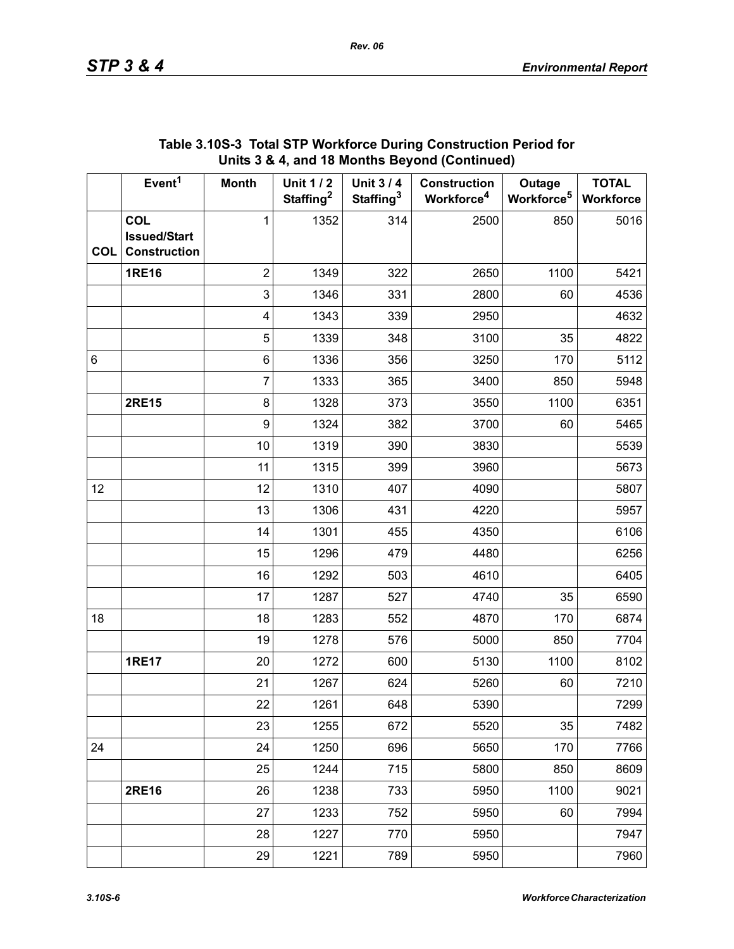|            | Event <sup>1</sup>                                       | <b>Month</b>            | <b>Unit 1/2</b><br>Staffing <sup>2</sup> | <b>Unit 3/4</b><br>Staffing <sup>3</sup> | <b>Construction</b><br>Workforce <sup>4</sup> | Outage<br>Workforce <sup>5</sup> | <b>TOTAL</b><br>Workforce |
|------------|----------------------------------------------------------|-------------------------|------------------------------------------|------------------------------------------|-----------------------------------------------|----------------------------------|---------------------------|
| <b>COL</b> | <b>COL</b><br><b>Issued/Start</b><br><b>Construction</b> | 1                       | 1352                                     | 314                                      | 2500                                          | 850                              | 5016                      |
|            | <b>1RE16</b>                                             | $\overline{2}$          | 1349                                     | 322                                      | 2650                                          | 1100                             | 5421                      |
|            |                                                          | 3                       | 1346                                     | 331                                      | 2800                                          | 60                               | 4536                      |
|            |                                                          | $\overline{\mathbf{4}}$ | 1343                                     | 339                                      | 2950                                          |                                  | 4632                      |
|            |                                                          | 5                       | 1339                                     | 348                                      | 3100                                          | 35                               | 4822                      |
| 6          |                                                          | 6                       | 1336                                     | 356                                      | 3250                                          | 170                              | 5112                      |
|            |                                                          | $\overline{7}$          | 1333                                     | 365                                      | 3400                                          | 850                              | 5948                      |
|            | <b>2RE15</b>                                             | 8                       | 1328                                     | 373                                      | 3550                                          | 1100                             | 6351                      |
|            |                                                          | $\boldsymbol{9}$        | 1324                                     | 382                                      | 3700                                          | 60                               | 5465                      |
|            |                                                          | 10                      | 1319                                     | 390                                      | 3830                                          |                                  | 5539                      |
|            |                                                          | 11                      | 1315                                     | 399                                      | 3960                                          |                                  | 5673                      |
| 12         |                                                          | 12                      | 1310                                     | 407                                      | 4090                                          |                                  | 5807                      |
|            |                                                          | 13                      | 1306                                     | 431                                      | 4220                                          |                                  | 5957                      |
|            |                                                          | 14                      | 1301                                     | 455                                      | 4350                                          |                                  | 6106                      |
|            |                                                          | 15                      | 1296                                     | 479                                      | 4480                                          |                                  | 6256                      |
|            |                                                          | 16                      | 1292                                     | 503                                      | 4610                                          |                                  | 6405                      |
|            |                                                          | 17                      | 1287                                     | 527                                      | 4740                                          | 35                               | 6590                      |
| 18         |                                                          | 18                      | 1283                                     | 552                                      | 4870                                          | 170                              | 6874                      |
|            |                                                          | 19                      | 1278                                     | 576                                      | 5000                                          | 850                              | 7704                      |
|            | <b>1RE17</b>                                             | 20                      | 1272                                     | 600                                      | 5130                                          | 1100                             | 8102                      |
|            |                                                          | 21                      | 1267                                     | 624                                      | 5260                                          | 60                               | 7210                      |
|            |                                                          | 22                      | 1261                                     | 648                                      | 5390                                          |                                  | 7299                      |
|            |                                                          | 23                      | 1255                                     | 672                                      | 5520                                          | 35                               | 7482                      |
| 24         |                                                          | 24                      | 1250                                     | 696                                      | 5650                                          | 170                              | 7766                      |
|            |                                                          | 25                      | 1244                                     | 715                                      | 5800                                          | 850                              | 8609                      |
|            | 2RE16                                                    | 26                      | 1238                                     | 733                                      | 5950                                          | 1100                             | 9021                      |
|            |                                                          | 27                      | 1233                                     | 752                                      | 5950                                          | 60                               | 7994                      |
|            |                                                          | 28                      | 1227                                     | 770                                      | 5950                                          |                                  | 7947                      |
|            |                                                          | 29                      | 1221                                     | 789                                      | 5950                                          |                                  | 7960                      |

#### **Table 3.10S-3 Total STP Workforce During Construction Period for Units 3 & 4, and 18 Months Beyond (Continued)**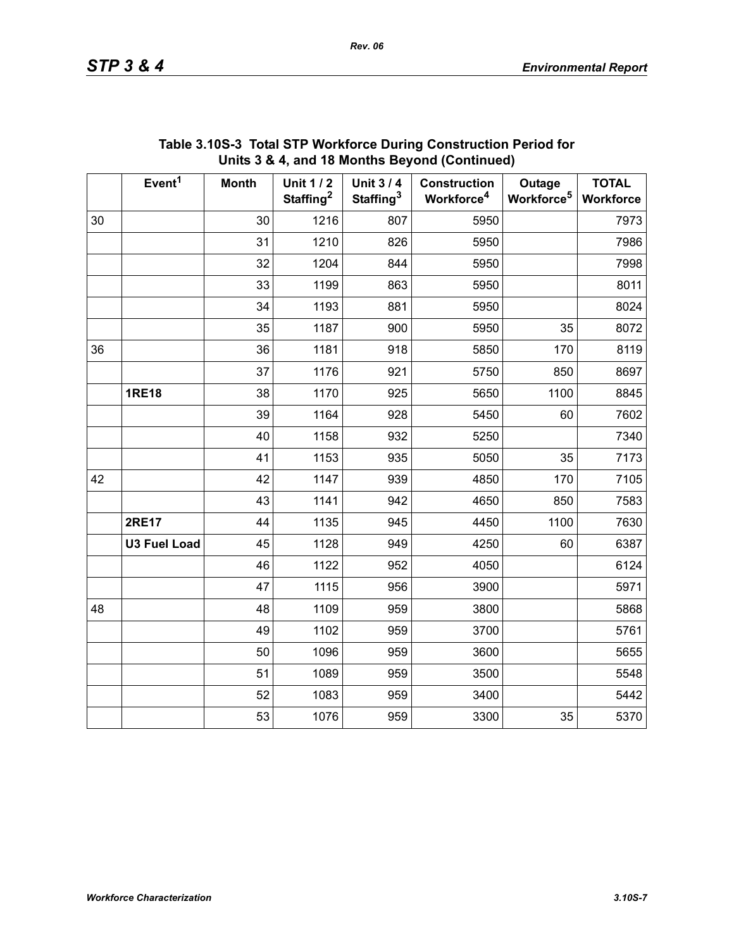|    | Event <sup>1</sup>  | <b>Month</b> | <b>Unit 1/2</b><br>Staffing <sup>2</sup> | <b>Unit 3/4</b><br>Staffing <sup>3</sup> | <b>Construction</b><br>Workforce <sup>4</sup> | Outage<br>Workforce <sup>5</sup> | <b>TOTAL</b><br>Workforce |
|----|---------------------|--------------|------------------------------------------|------------------------------------------|-----------------------------------------------|----------------------------------|---------------------------|
| 30 |                     | 30           | 1216                                     | 807                                      | 5950                                          |                                  | 7973                      |
|    |                     | 31           | 1210                                     | 826                                      | 5950                                          |                                  | 7986                      |
|    |                     | 32           | 1204                                     | 844                                      | 5950                                          |                                  | 7998                      |
|    |                     | 33           | 1199                                     | 863                                      | 5950                                          |                                  | 8011                      |
|    |                     | 34           | 1193                                     | 881                                      | 5950                                          |                                  | 8024                      |
|    |                     | 35           | 1187                                     | 900                                      | 5950                                          | 35                               | 8072                      |
| 36 |                     | 36           | 1181                                     | 918                                      | 5850                                          | 170                              | 8119                      |
|    |                     | 37           | 1176                                     | 921                                      | 5750                                          | 850                              | 8697                      |
|    | <b>1RE18</b>        | 38           | 1170                                     | 925                                      | 5650                                          | 1100                             | 8845                      |
|    |                     | 39           | 1164                                     | 928                                      | 5450                                          | 60                               | 7602                      |
|    |                     | 40           | 1158                                     | 932                                      | 5250                                          |                                  | 7340                      |
|    |                     | 41           | 1153                                     | 935                                      | 5050                                          | 35                               | 7173                      |
| 42 |                     | 42           | 1147                                     | 939                                      | 4850                                          | 170                              | 7105                      |
|    |                     | 43           | 1141                                     | 942                                      | 4650                                          | 850                              | 7583                      |
|    | <b>2RE17</b>        | 44           | 1135                                     | 945                                      | 4450                                          | 1100                             | 7630                      |
|    | <b>U3 Fuel Load</b> | 45           | 1128                                     | 949                                      | 4250                                          | 60                               | 6387                      |
|    |                     | 46           | 1122                                     | 952                                      | 4050                                          |                                  | 6124                      |
|    |                     | 47           | 1115                                     | 956                                      | 3900                                          |                                  | 5971                      |
| 48 |                     | 48           | 1109                                     | 959                                      | 3800                                          |                                  | 5868                      |
|    |                     | 49           | 1102                                     | 959                                      | 3700                                          |                                  | 5761                      |
|    |                     | 50           | 1096                                     | 959                                      | 3600                                          |                                  | 5655                      |
|    |                     | 51           | 1089                                     | 959                                      | 3500                                          |                                  | 5548                      |
|    |                     | 52           | 1083                                     | 959                                      | 3400                                          |                                  | 5442                      |
|    |                     | 53           | 1076                                     | 959                                      | 3300                                          | 35                               | 5370                      |

## **Table 3.10S-3 Total STP Workforce During Construction Period for Units 3 & 4, and 18 Months Beyond (Continued)**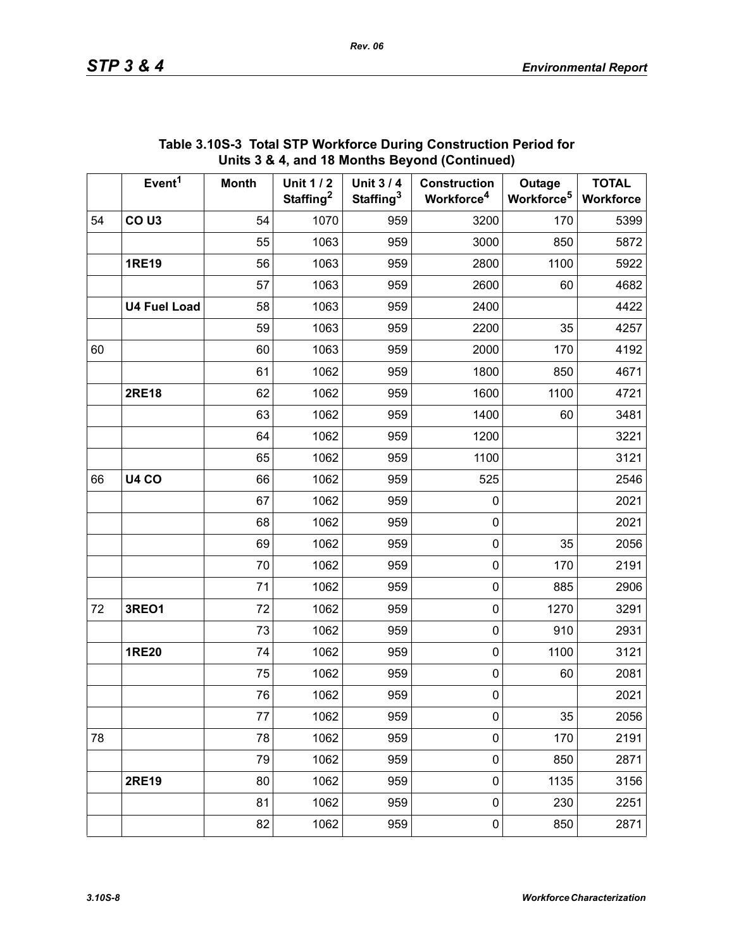|    | Event <sup>1</sup>  | <b>Month</b> | <b>Unit 1/2</b>       | <b>Unit 3/4</b>       | <b>Construction</b>    | Outage                 | <b>TOTAL</b> |
|----|---------------------|--------------|-----------------------|-----------------------|------------------------|------------------------|--------------|
|    |                     |              | Staffing <sup>2</sup> | Staffing <sup>3</sup> | Workforce <sup>4</sup> | Workforce <sup>5</sup> | Workforce    |
| 54 | CO <sub>U3</sub>    | 54           | 1070                  | 959                   | 3200                   | 170                    | 5399         |
|    |                     | 55           | 1063                  | 959                   | 3000                   | 850                    | 5872         |
|    | <b>1RE19</b>        | 56           | 1063                  | 959                   | 2800                   | 1100                   | 5922         |
|    |                     | 57           | 1063                  | 959                   | 2600                   | 60                     | 4682         |
|    | <b>U4 Fuel Load</b> | 58           | 1063                  | 959                   | 2400                   |                        | 4422         |
|    |                     | 59           | 1063                  | 959                   | 2200                   | 35                     | 4257         |
| 60 |                     | 60           | 1063                  | 959                   | 2000                   | 170                    | 4192         |
|    |                     | 61           | 1062                  | 959                   | 1800                   | 850                    | 4671         |
|    | <b>2RE18</b>        | 62           | 1062                  | 959                   | 1600                   | 1100                   | 4721         |
|    |                     | 63           | 1062                  | 959                   | 1400                   | 60                     | 3481         |
|    |                     | 64           | 1062                  | 959                   | 1200                   |                        | 3221         |
|    |                     | 65           | 1062                  | 959                   | 1100                   |                        | 3121         |
| 66 | <b>U4 CO</b>        | 66           | 1062                  | 959                   | 525                    |                        | 2546         |
|    |                     | 67           | 1062                  | 959                   | $\boldsymbol{0}$       |                        | 2021         |
|    |                     | 68           | 1062                  | 959                   | $\pmb{0}$              |                        | 2021         |
|    |                     | 69           | 1062                  | 959                   | $\pmb{0}$              | 35                     | 2056         |
|    |                     | 70           | 1062                  | 959                   | $\pmb{0}$              | 170                    | 2191         |
|    |                     | 71           | 1062                  | 959                   | $\pmb{0}$              | 885                    | 2906         |
| 72 | <b>3REO1</b>        | 72           | 1062                  | 959                   | $\pmb{0}$              | 1270                   | 3291         |
|    |                     | 73           | 1062                  | 959                   | $\pmb{0}$              | 910                    | 2931         |
|    | <b>1RE20</b>        | 74           | 1062                  | 959                   | $\pmb{0}$              | 1100                   | 3121         |
|    |                     | 75           | 1062                  | 959                   | $\pmb{0}$              | 60                     | 2081         |
|    |                     | 76           | 1062                  | 959                   | 0                      |                        | 2021         |
|    |                     | 77           | 1062                  | 959                   | $\pmb{0}$              | 35                     | 2056         |
| 78 |                     | 78           | 1062                  | 959                   | $\pmb{0}$              | 170                    | 2191         |
|    |                     | 79           | 1062                  | 959                   | $\pmb{0}$              | 850                    | 2871         |
|    | <b>2RE19</b>        | 80           | 1062                  | 959                   | $\pmb{0}$              | 1135                   | 3156         |
|    |                     | 81           | 1062                  | 959                   | $\pmb{0}$              | 230                    | 2251         |
|    |                     | 82           | 1062                  | 959                   | $\pmb{0}$              | 850                    | 2871         |

#### **Table 3.10S-3 Total STP Workforce During Construction Period for Units 3 & 4, and 18 Months Beyond (Continued)**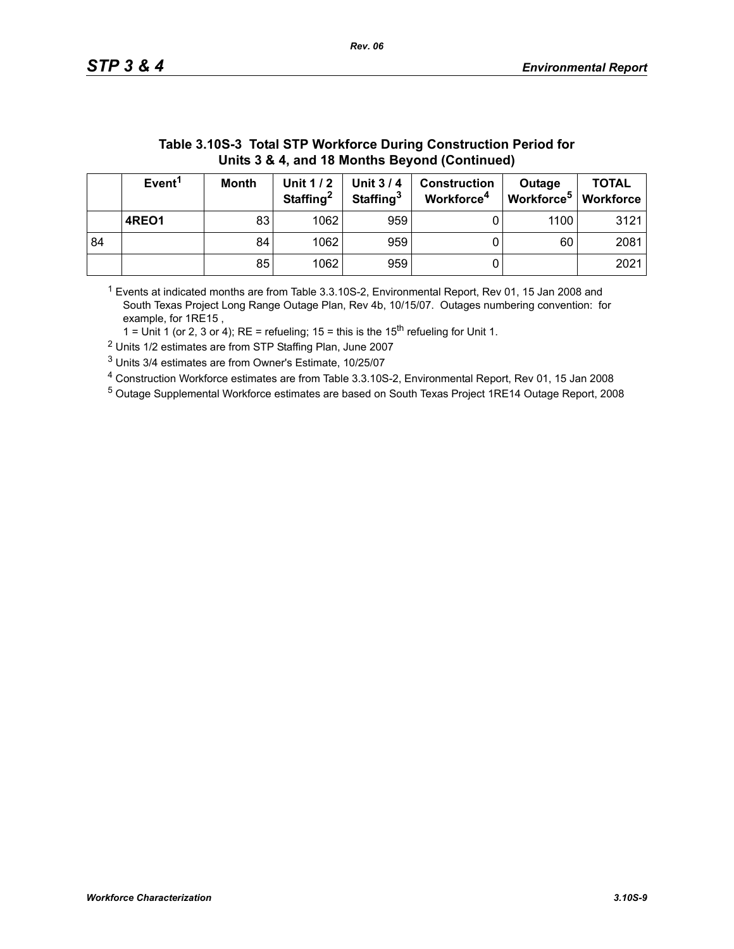| Units 3 & 4, and 18 Months Beyond (Continued) |                    |              |                                   |                                          |                                               |                                              |              |  |
|-----------------------------------------------|--------------------|--------------|-----------------------------------|------------------------------------------|-----------------------------------------------|----------------------------------------------|--------------|--|
|                                               | Event <sup>1</sup> | <b>Month</b> | Unit 1/2<br>Staffing <sup>2</sup> | <b>Unit 3/4</b><br>Staffing <sup>3</sup> | <b>Construction</b><br>Workforce <sup>4</sup> | Outage<br>Workforce <sup>5</sup>   Workforce | <b>TOTAL</b> |  |
|                                               | 4REO1              | 83           | 1062                              | 959                                      |                                               | 1100                                         | 3121         |  |
| 84                                            |                    | 84           | 1062                              | 959                                      |                                               | 60                                           | 2081         |  |
|                                               |                    | 85           | 1062                              | 959                                      | U                                             |                                              | 2021         |  |

# **Table 3.10S-3 Total STP Workforce During Construction Period for**

1 Events at indicated months are from Table 3.3.10S-2, Environmental Report, Rev 01, 15 Jan 2008 and South Texas Project Long Range Outage Plan, Rev 4b, 10/15/07. Outages numbering convention: for example, for 1RE15 ,

1 = Unit 1 (or 2, 3 or 4); RE = refueling; 15 = this is the  $15<sup>th</sup>$  refueling for Unit 1.

2 Units 1/2 estimates are from STP Staffing Plan, June 2007

3 Units 3/4 estimates are from Owner's Estimate, 10/25/07

4 Construction Workforce estimates are from Table 3.3.10S-2, Environmental Report, Rev 01, 15 Jan 2008

5 Outage Supplemental Workforce estimates are based on South Texas Project 1RE14 Outage Report, 2008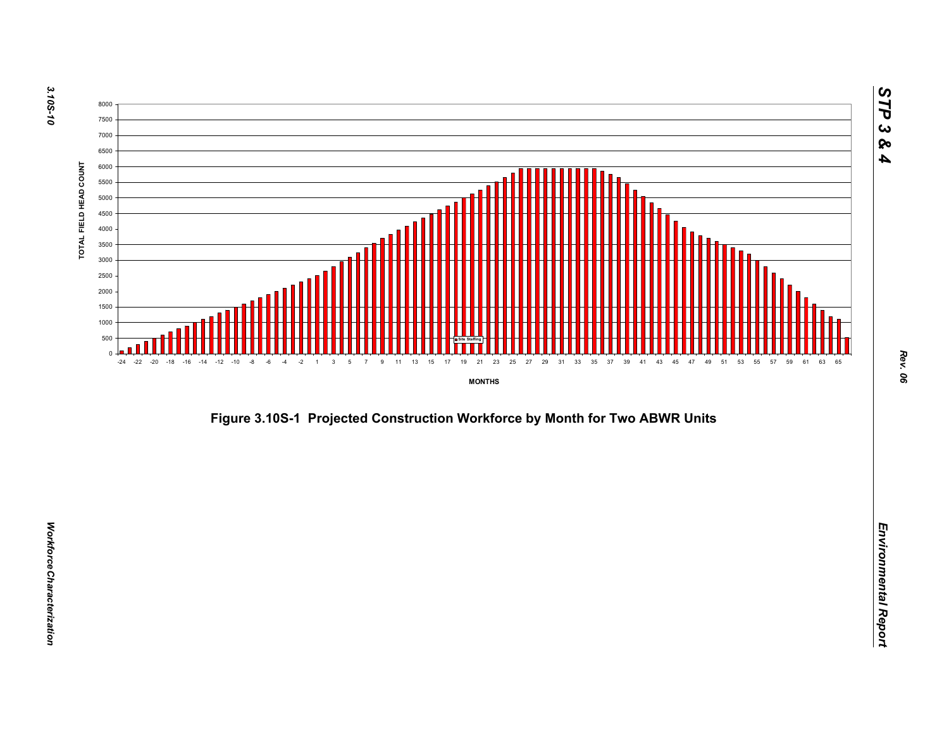



*STP 3 & 4*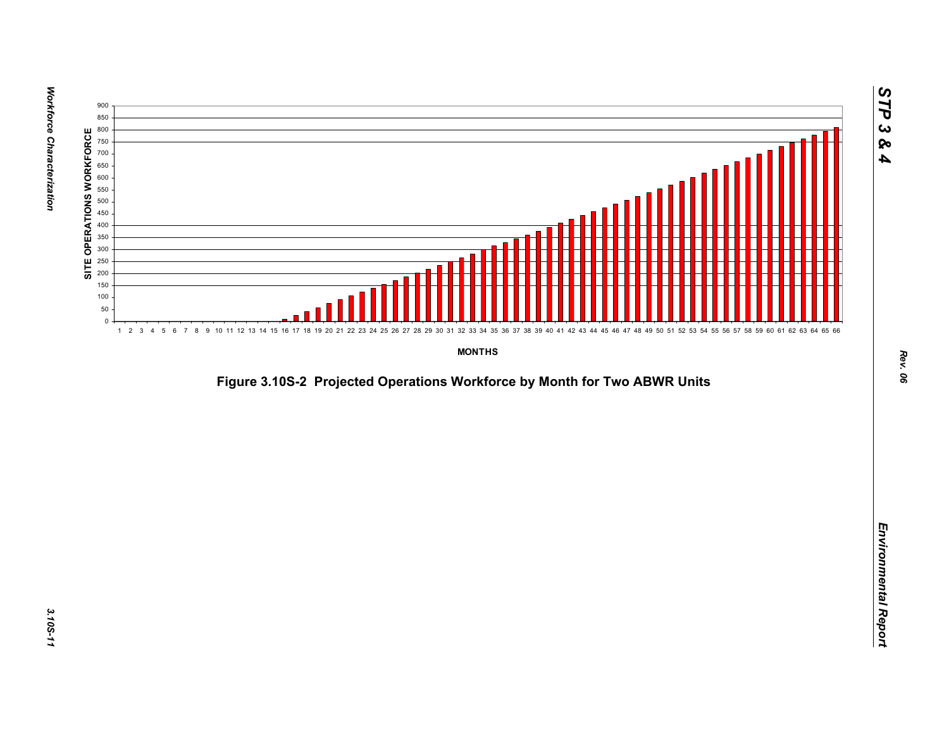

*Figure 3.10S-2 Projected Operations Workforce by Month for Two ABWR Units*<br>*Environmental Report*<br>Projected Operations Workforce by Month for Two ABWR Units<br>Projected Operations Workforce by Month for Two ABWR Units<br>Proje

*STP 3 & 4*